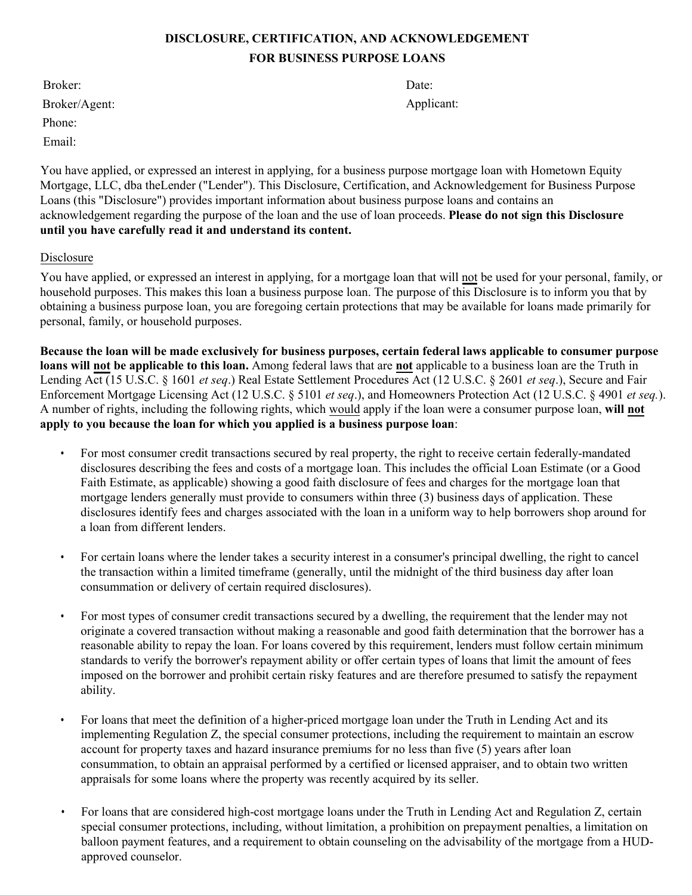## **DISCLOSURE, CERTIFICATION, AND ACKNOWLEDGEMENT FOR BUSINESS PURPOSE LOANS**

Broker: Broker/Agent: Phone: Email:

Date: Applicant:

You have applied, or expressed an interest in applying, for a business purpose mortgage loan with Hometown Equity Mortgage, LLC, dba theLender ("Lender"). This Disclosure, Certification, and Acknowledgement for Business Purpose Loans (this "Disclosure") provides important information about business purpose loans and contains an acknowledgement regarding the purpose of the loan and the use of loan proceeds. **Please do not sign this Disclosure until you have carefully read it and understand its content.**

### Disclosure

You have applied, or expressed an interest in applying, for a mortgage loan that will not be used for your personal, family, or household purposes. This makes this loan a business purpose loan. The purpose of this Disclosure is to inform you that by obtaining a business purpose loan, you are foregoing certain protections that may be available for loans made primarily for personal, family, or household purposes.

**Because the loan will be made exclusively for business purposes, certain federal laws applicable to consumer purpose loans will not be applicable to this loan.** Among federal laws that are **not** applicable to a business loan are the Truth in Lending Act (15 U.S.C. § 1601 *et seq*.) Real Estate Settlement Procedures Act (12 U.S.C. § 2601 *et seq*.), Secure and Fair Enforcement Mortgage Licensing Act (12 U.S.C. § 5101 *et seq*.), and Homeowners Protection Act (12 U.S.C. § 4901 *et seq.*). A number of rights, including the following rights, which would apply if the loan were a consumer purpose loan, **will not apply to you because the loan for which you applied is a business purpose loan**:

- For most consumer credit transactions secured by real property, the right to receive certain federally-mandated disclosures describing the fees and costs of a mortgage loan. This includes the official Loan Estimate (or a Good Faith Estimate, as applicable) showing a good faith disclosure of fees and charges for the mortgage loan that mortgage lenders generally must provide to consumers within three (3) business days of application. These disclosures identify fees and charges associated with the loan in a uniform way to help borrowers shop around for a loan from different lenders.
- For certain loans where the lender takes a security interest in a consumer's principal dwelling, the right to cancel the transaction within a limited timeframe (generally, until the midnight of the third business day after loan consummation or delivery of certain required disclosures).
- For most types of consumer credit transactions secured by a dwelling, the requirement that the lender may not originate a covered transaction without making a reasonable and good faith determination that the borrower has a reasonable ability to repay the loan. For loans covered by this requirement, lenders must follow certain minimum standards to verify the borrower's repayment ability or offer certain types of loans that limit the amount of fees imposed on the borrower and prohibit certain risky features and are therefore presumed to satisfy the repayment ability.
- For loans that meet the definition of a higher-priced mortgage loan under the Truth in Lending Act and its implementing Regulation Z, the special consumer protections, including the requirement to maintain an escrow account for property taxes and hazard insurance premiums for no less than five (5) years after loan consummation, to obtain an appraisal performed by a certified or licensed appraiser, and to obtain two written appraisals for some loans where the property was recently acquired by its seller.
- For loans that are considered high-cost mortgage loans under the Truth in Lending Act and Regulation Z, certain special consumer protections, including, without limitation, a prohibition on prepayment penalties, a limitation on balloon payment features, and a requirement to obtain counseling on the advisability of the mortgage from a HUDapproved counselor.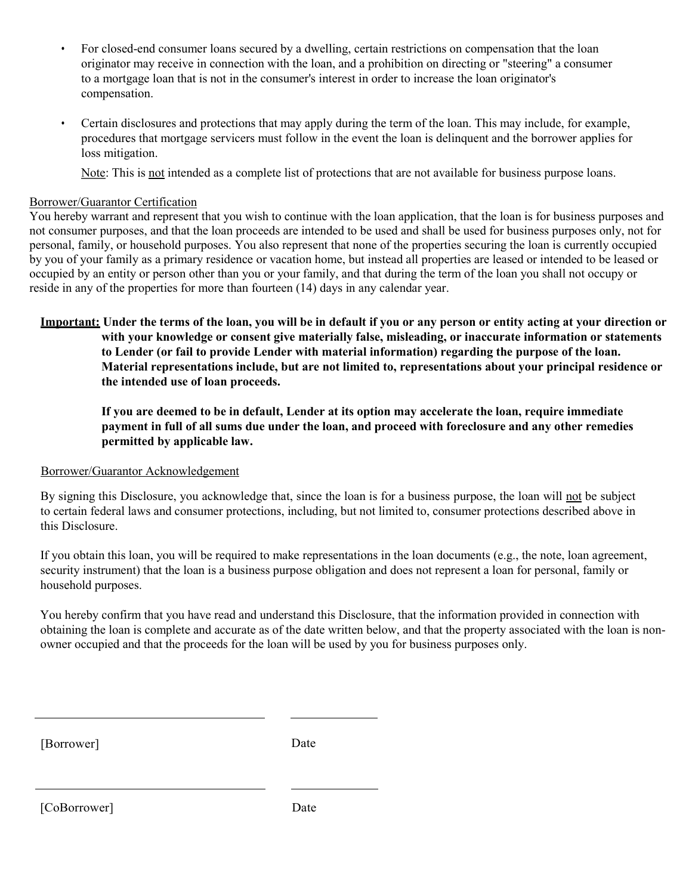- For closed-end consumer loans secured by a dwelling, certain restrictions on compensation that the loan originator may receive in connection with the loan, and a prohibition on directing or "steering" a consumer to a mortgage loan that is not in the consumer's interest in order to increase the loan originator's compensation.
- Certain disclosures and protections that may apply during the term of the loan. This may include, for example, procedures that mortgage servicers must follow in the event the loan is delinquent and the borrower applies for loss mitigation.

Note: This is not intended as a complete list of protections that are not available for business purpose loans.

#### Borrower/Guarantor Certification

You hereby warrant and represent that you wish to continue with the loan application, that the loan is for business purposes and not consumer purposes, and that the loan proceeds are intended to be used and shall be used for business purposes only, not for personal, family, or household purposes. You also represent that none of the properties securing the loan is currently occupied by you of your family as a primary residence or vacation home, but instead all properties are leased or intended to be leased or occupied by an entity or person other than you or your family, and that during the term of the loan you shall not occupy or reside in any of the properties for more than fourteen (14) days in any calendar year.

**Important: Under the terms of the loan, you will be in default if you or any person or entity acting at your direction or with your knowledge or consent give materially false, misleading, or inaccurate information or statements to Lender (or fail to provide Lender with material information) regarding the purpose of the loan. Material representations include, but are not limited to, representations about your principal residence or the intended use of loan proceeds.**

**If you are deemed to be in default, Lender at its option may accelerate the loan, require immediate payment in full of all sums due under the loan, and proceed with foreclosure and any other remedies permitted by applicable law.**

#### Borrower/Guarantor Acknowledgement

By signing this Disclosure, you acknowledge that, since the loan is for a business purpose, the loan will not be subject to certain federal laws and consumer protections, including, but not limited to, consumer protections described above in this Disclosure.

If you obtain this loan, you will be required to make representations in the loan documents (e.g., the note, loan agreement, security instrument) that the loan is a business purpose obligation and does not represent a loan for personal, family or household purposes.

You hereby confirm that you have read and understand this Disclosure, that the information provided in connection with obtaining the loan is complete and accurate as of the date written below, and that the property associated with the loan is nonowner occupied and that the proceeds for the loan will be used by you for business purposes only.

[Borrower] Date

[CoBorrower] Date